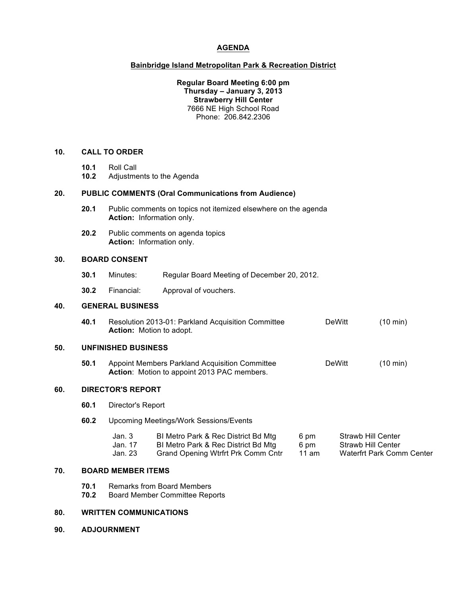# **AGENDA**

## **Bainbridge Island Metropolitan Park & Recreation District**

**Regular Board Meeting 6:00 pm Thursday – January 3, 2013 Strawberry Hill Center** 7666 NE High School Road Phone: 206.842.2306

# **10. CALL TO ORDER**

- **10.1** Roll Call
- **10.2** Adjustments to the Agenda

### **20. PUBLIC COMMENTS (Oral Communications from Audience)**

- **20.1** Public comments on topics not itemized elsewhere on the agenda **Action:** Information only.
- **20.2** Public comments on agenda topics **Action:** Information only.

# **30. BOARD CONSENT**

- **30.1** Minutes: Regular Board Meeting of December 20, 2012.
- **30.2** Financial: Approval of vouchers.

### **40. GENERAL BUSINESS**

**40.1** Resolution 2013-01: Parkland Acquisition Committee DeWitt (10 min) **Action:** Motion to adopt.

# **50. UNFINISHED BUSINESS**

**50.1** Appoint Members Parkland Acquisition Committee **DeWitt** (10 min) **Action**: Motion to appoint 2013 PAC members.

# **60. DIRECTOR'S REPORT**

**60.1** Director's Report

## **60.2** Upcoming Meetings/Work Sessions/Events

| Jan. 3  | BI Metro Park & Rec District Bd Mtg | 6 pm  | Strawb Hill Center        |
|---------|-------------------------------------|-------|---------------------------|
| Jan. 17 | BI Metro Park & Rec District Bd Mtg | 6 pm  | Strawb Hill Center        |
| Jan. 23 | Grand Opening Wtrfrt Prk Comm Cntr  | 11 am | Waterfrt Park Comm Center |

### **70. BOARD MEMBER ITEMS**

- **70.1** Remarks from Board Members
- **70.2** Board Member Committee Reports

# **80. WRITTEN COMMUNICATIONS**

**90. ADJOURNMENT**